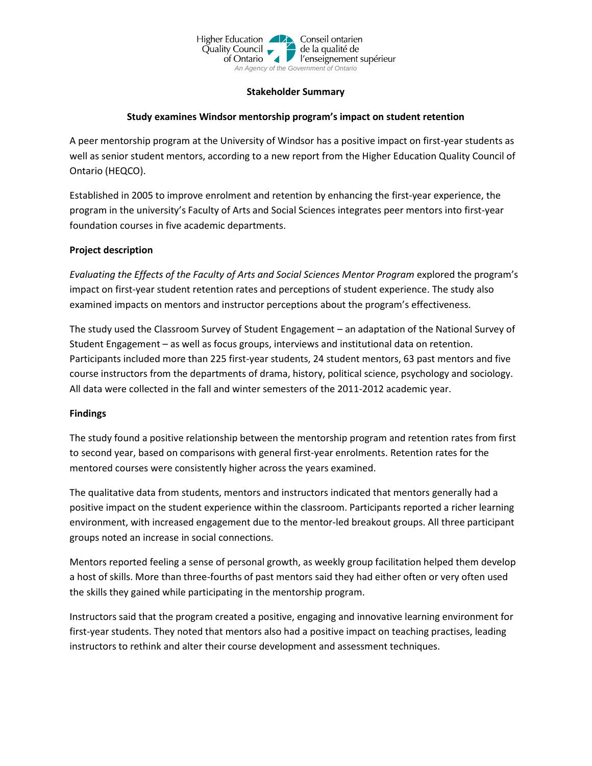

### **Stakeholder Summary**

## **Study examines Windsor mentorship program's impact on student retention**

A peer mentorship program at the University of Windsor has a positive impact on first-year students as well as senior student mentors, according to a new report from the Higher Education Quality Council of Ontario (HEQCO).

Established in 2005 to improve enrolment and retention by enhancing the first-year experience, the program in the university's Faculty of Arts and Social Sciences integrates peer mentors into first-year foundation courses in five academic departments.

## **Project description**

*Evaluating the Effects of the Faculty of Arts and Social Sciences Mentor Program* explored the program's impact on first-year student retention rates and perceptions of student experience. The study also examined impacts on mentors and instructor perceptions about the program's effectiveness.

The study used the Classroom Survey of Student Engagement – an adaptation of the National Survey of Student Engagement – as well as focus groups, interviews and institutional data on retention. Participants included more than 225 first-year students, 24 student mentors, 63 past mentors and five course instructors from the departments of drama, history, political science, psychology and sociology. All data were collected in the fall and winter semesters of the 2011-2012 academic year.

## **Findings**

The study found a positive relationship between the mentorship program and retention rates from first to second year, based on comparisons with general first-year enrolments. Retention rates for the mentored courses were consistently higher across the years examined.

The qualitative data from students, mentors and instructors indicated that mentors generally had a positive impact on the student experience within the classroom. Participants reported a richer learning environment, with increased engagement due to the mentor-led breakout groups. All three participant groups noted an increase in social connections.

Mentors reported feeling a sense of personal growth, as weekly group facilitation helped them develop a host of skills. More than three-fourths of past mentors said they had either often or very often used the skills they gained while participating in the mentorship program.

Instructors said that the program created a positive, engaging and innovative learning environment for first-year students. They noted that mentors also had a positive impact on teaching practises, leading instructors to rethink and alter their course development and assessment techniques.